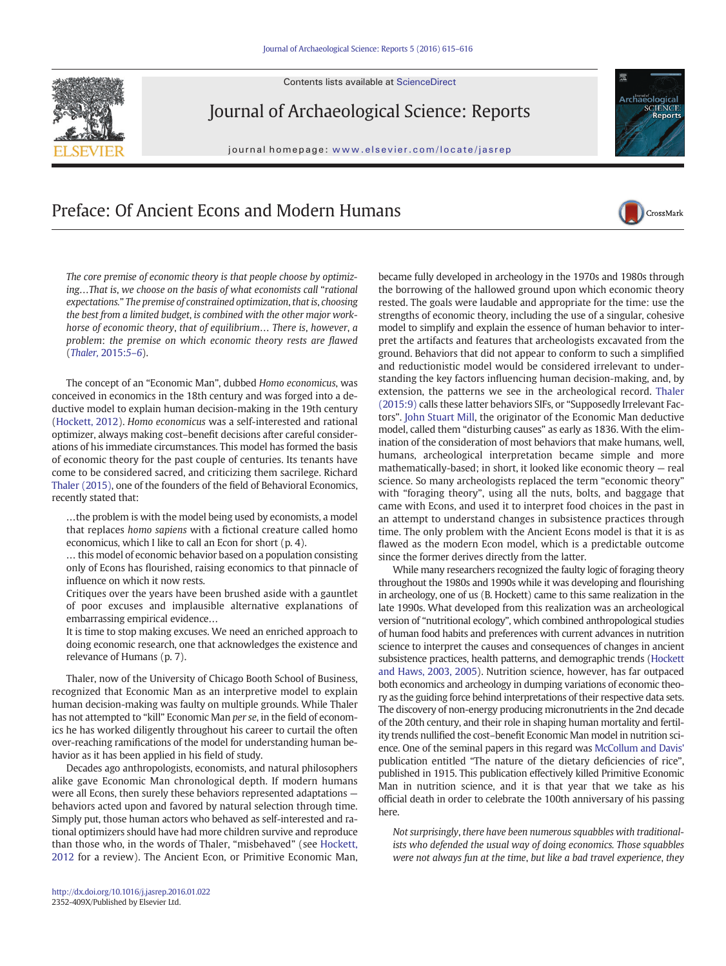Contents lists available at ScienceDirect



Journal of Archaeological Science: Reports

journal homepage: www.elsevier.com/locate/jasrep



## Preface: Of Ancient Econs and Modern Humans



The core premise of economic theory is that people choose by optimizing…That is, we choose on the basis of what economists call "rational expectations." The premise of constrained optimization, that is, choosing the best from a limited budget, is combined with the other major workhorse of economic theory, that of equilibrium… There is, however, a problem: the premise on which economic theory rests are flawed ([Thaler,](#page-1-0) 2015:5–6).

The concept of an "Economic Man", dubbed Homo economicus, was conceived in economics in the 18th century and was forged into a deductive model to explain human decision-making in the 19th century [\(Hockett, 2012](#page-1-0)). Homo economicus was a self-interested and rational optimizer, always making cost–benefit decisions after careful considerations of his immediate circumstances. This model has formed the basis of economic theory for the past couple of centuries. Its tenants have come to be considered sacred, and criticizing them sacrilege. Richard [Thaler \(2015\)](#page-1-0), one of the founders of the field of Behavioral Economics, recently stated that:

…the problem is with the model being used by economists, a model that replaces homo sapiens with a fictional creature called homo economicus, which I like to call an Econ for short (p. 4).

… this model of economic behavior based on a population consisting only of Econs has flourished, raising economics to that pinnacle of influence on which it now rests.

Critiques over the years have been brushed aside with a gauntlet of poor excuses and implausible alternative explanations of embarrassing empirical evidence…

It is time to stop making excuses. We need an enriched approach to doing economic research, one that acknowledges the existence and relevance of Humans (p. 7).

Thaler, now of the University of Chicago Booth School of Business, recognized that Economic Man as an interpretive model to explain human decision-making was faulty on multiple grounds. While Thaler has not attempted to "kill" Economic Man per se, in the field of economics he has worked diligently throughout his career to curtail the often over-reaching ramifications of the model for understanding human behavior as it has been applied in his field of study.

Decades ago anthropologists, economists, and natural philosophers alike gave Economic Man chronological depth. If modern humans were all Econs, then surely these behaviors represented adaptations behaviors acted upon and favored by natural selection through time. Simply put, those human actors who behaved as self-interested and rational optimizers should have had more children survive and reproduce than those who, in the words of Thaler, "misbehaved" (see [Hockett,](#page-1-0) [2012](#page-1-0) for a review). The Ancient Econ, or Primitive Economic Man,

became fully developed in archeology in the 1970s and 1980s through the borrowing of the hallowed ground upon which economic theory rested. The goals were laudable and appropriate for the time: use the strengths of economic theory, including the use of a singular, cohesive model to simplify and explain the essence of human behavior to interpret the artifacts and features that archeologists excavated from the ground. Behaviors that did not appear to conform to such a simplified and reductionistic model would be considered irrelevant to understanding the key factors influencing human decision-making, and, by extension, the patterns we see in the archeological record. [Thaler](#page-1-0) [\(2015:9\)](#page-1-0) calls these latter behaviors SIFs, or "Supposedly Irrelevant Factors". [John Stuart Mill,](#page-1-0) the originator of the Economic Man deductive model, called them "disturbing causes" as early as 1836. With the elimination of the consideration of most behaviors that make humans, well, humans, archeological interpretation became simple and more mathematically-based; in short, it looked like economic theory — real science. So many archeologists replaced the term "economic theory" with "foraging theory", using all the nuts, bolts, and baggage that came with Econs, and used it to interpret food choices in the past in an attempt to understand changes in subsistence practices through time. The only problem with the Ancient Econs model is that it is as flawed as the modern Econ model, which is a predictable outcome since the former derives directly from the latter.

While many researchers recognized the faulty logic of foraging theory throughout the 1980s and 1990s while it was developing and flourishing in archeology, one of us (B. Hockett) came to this same realization in the late 1990s. What developed from this realization was an archeological version of "nutritional ecology", which combined anthropological studies of human food habits and preferences with current advances in nutrition science to interpret the causes and consequences of changes in ancient subsistence practices, health patterns, and demographic trends [\(Hockett](#page-1-0) [and Haws, 2003, 2005](#page-1-0)). Nutrition science, however, has far outpaced both economics and archeology in dumping variations of economic theory as the guiding force behind interpretations of their respective data sets. The discovery of non-energy producing micronutrients in the 2nd decade of the 20th century, and their role in shaping human mortality and fertility trends nullified the cost–benefit Economic Man model in nutrition science. One of the seminal papers in this regard was [McCollum and Davis'](#page-1-0) publication entitled "The nature of the dietary deficiencies of rice", published in 1915. This publication effectively killed Primitive Economic Man in nutrition science, and it is that year that we take as his official death in order to celebrate the 100th anniversary of his passing here.

Not surprisingly, there have been numerous squabbles with traditionalists who defended the usual way of doing economics. Those squabbles were not always fun at the time, but like a bad travel experience, they